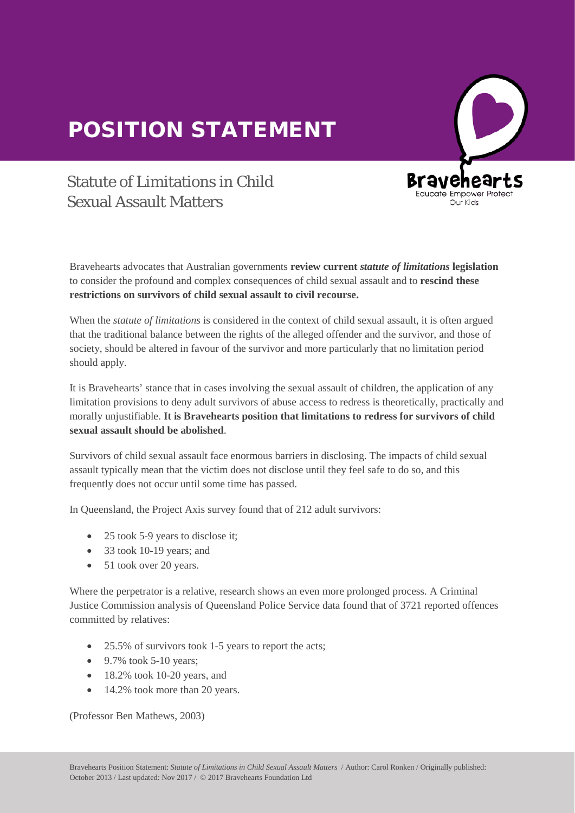## POSITION STATEMENT



## Statute of Limitations in Child Sexual Assault Matters

Bravehearts advocates that Australian governments **review current** *statute of limitations* **legislation** to consider the profound and complex consequences of child sexual assault and to **rescind these restrictions on survivors of child sexual assault to civil recourse.** 

When the *statute of limitations* is considered in the context of child sexual assault, it is often argued that the traditional balance between the rights of the alleged offender and the survivor, and those of society, should be altered in favour of the survivor and more particularly that no limitation period<br>should apply should apply.

It is Bravehearts' stance that in cases involving the sexual assault of children, the application of any limitation provisions to deny adult survivors of abuse access to redress is theoretically, practically and morally unjustifiable. **It is Bravehearts position that limitations to redress for survivors of child sexual assault should be abolished**.

Survivors of child sexual assault face enormous barriers in disclosing. The impacts of child sexual assault typically mean that the victim does not disclose until they feel safe to do so, and this frequently does not occur until some time has passed.

In Queensland, the Project Axis survey found that of 212 adult survivors:

- 25 took 5-9 years to disclose it:
- 33 took 10-19 years; and
- 51 took over 20 years.

Where the perpetrator is a relative, research shows an even more prolonged process. A Criminal Justice Commission analysis of Queensland Police Service data found that of 3721 reported offences committed by relatives:

- 25.5% of survivors took 1-5 years to report the acts;
- $\bullet$  9.7% took 5-10 years;
- $\bullet$  18.2% took 10-20 years, and
- 14.2% took more than 20 years.

(Professor Ben Mathews, 2003)